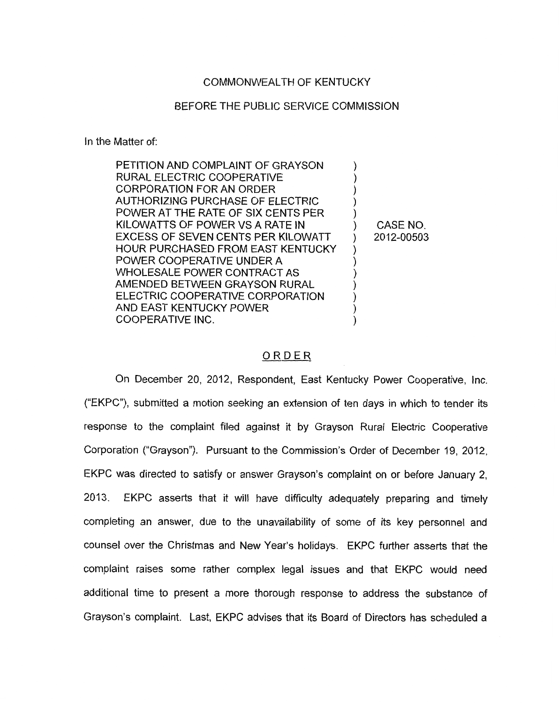## COMMONWEALTH OF KENTUCKY

## BEFORE THE PUBLIC SERVICE COMMISSION

In the Matter of:

| PETITION AND COMPLAINT OF GRAYSON        |            |
|------------------------------------------|------------|
| RURAL ELECTRIC COOPERATIVE               |            |
| CORPORATION FOR AN ORDER                 |            |
| AUTHORIZING PURCHASE OF ELECTRIC         |            |
| POWER AT THE RATE OF SIX CENTS PER       |            |
| KILOWATTS OF POWER VS A RATE IN          | CASE NO.   |
| EXCESS OF SEVEN CENTS PER KILOWATT       | 2012-00503 |
| <b>HOUR PURCHASED FROM EAST KENTUCKY</b> |            |
| POWER COOPERATIVE UNDER A                |            |
| WHOLESALE POWER CONTRACT AS              |            |
| AMENDED BETWEEN GRAYSON RURAL            |            |
| ELECTRIC COOPERATIVE CORPORATION         |            |
| AND EAST KENTUCKY POWER                  |            |
| COOPERATIVE INC.                         |            |
|                                          |            |

## ORDER

On December 20, 2012, Respondent, East Kentucky Power Cooperative, Inc. ("EKPC"), submitted a motion seeking an extension of ten days in which to tender its response to the complaint filed against it by Grayson Rural Electric Cooperative Corporation ("Grayson"). Pursuant to the Commission's Order of December 19, 2012, EKPC was directed to satisfy or answer Grayson's complaint on or before January 2, 2013. EKPC asserts that it will have difficulty adequately preparing and timely completing an answer, due to the unavailability of some of its key personnel and counsel over the Christmas and New Year's holidays. EKPC further asserts that the complaint raises some rather complex legal issues and that EKPC would need additional time to present a more thorough response to address the substance of Grayson's complaint. Last, EKPC advises that its Board of Directors has scheduled a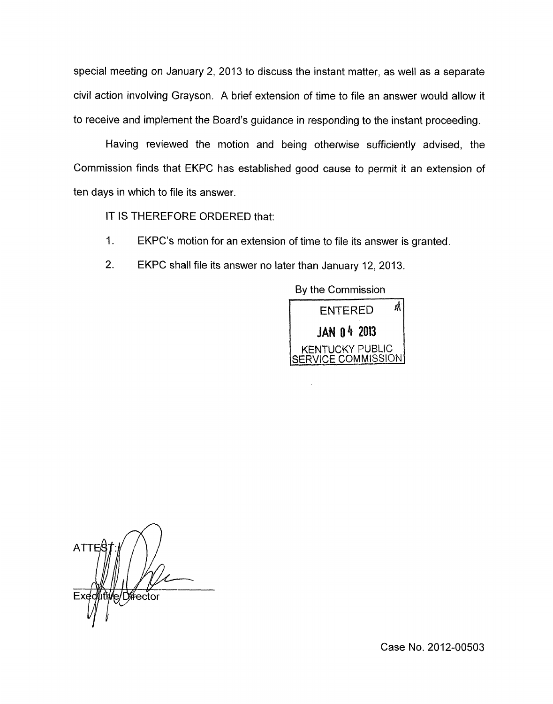special meeting on January 2, 2013 to discuss the instant matter, as well as a separate civil action involving Grayson. A brief extension of time to file an answer would allow it to receive and implement the Board's guidance in responding to the instant proceeding.

Having reviewed the motion and being otherwise sufficiently advised, the Commission finds that EKPC has established good cause to permit it an extension of ten days in which to file its answer.

IT IS THEREFORE ORDERED that:

- 1. EKPC's motion for an extension of time to file its answer is granted.
- 2. EKPC shall file its answer no later than January 12, 2013.

By the Commission



ATTE e/Director

Case No. 2012-00503